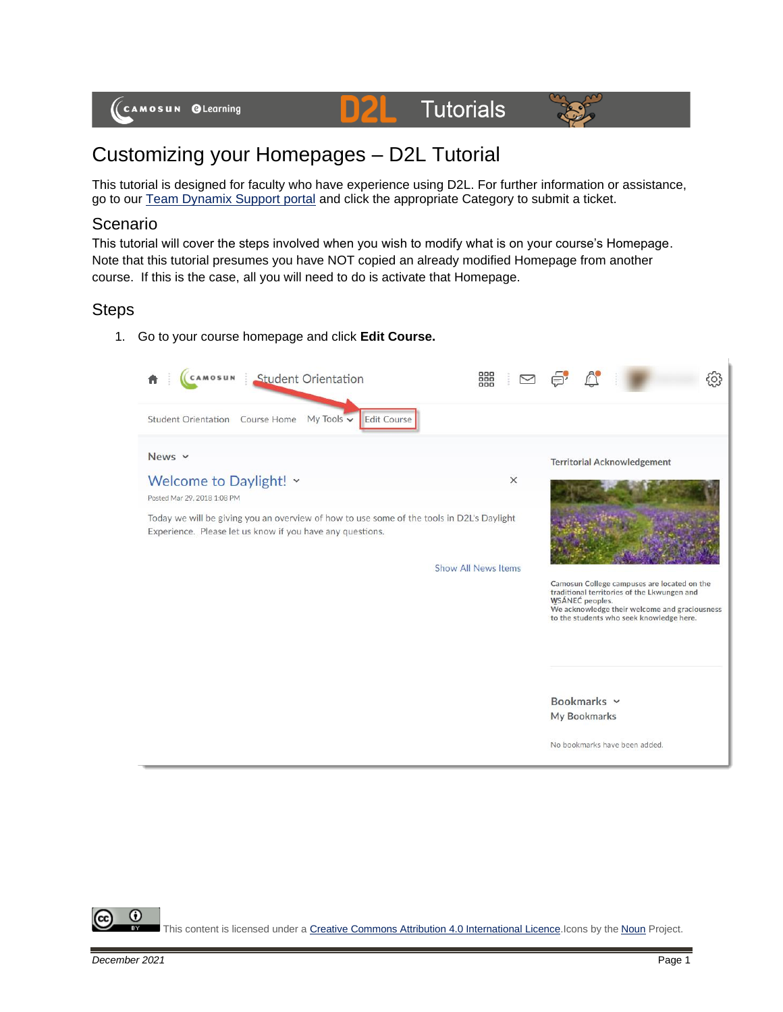



# Customizing your Homepages – D2L Tutorial

This tutorial is designed for faculty who have experience using D2L. For further information or assistance, go to our **Team Dynamix Support portal** and click the appropriate Category to submit a ticket.

D

### Scenario

This tutorial will cover the steps involved when you wish to modify what is on your course's Homepage. Note that this tutorial presumes you have NOT copied an already modified Homepage from another course. If this is the case, all you will need to do is activate that Homepage.

#### **Steps**

1. Go to your course homepage and click **Edit Course.**



This content is licensed under [a Creative Commons Attribution 4.0 International Licence.I](https://creativecommons.org/licenses/by/4.0/)cons by the [Noun](https://creativecommons.org/website-icons/) Project.

⋒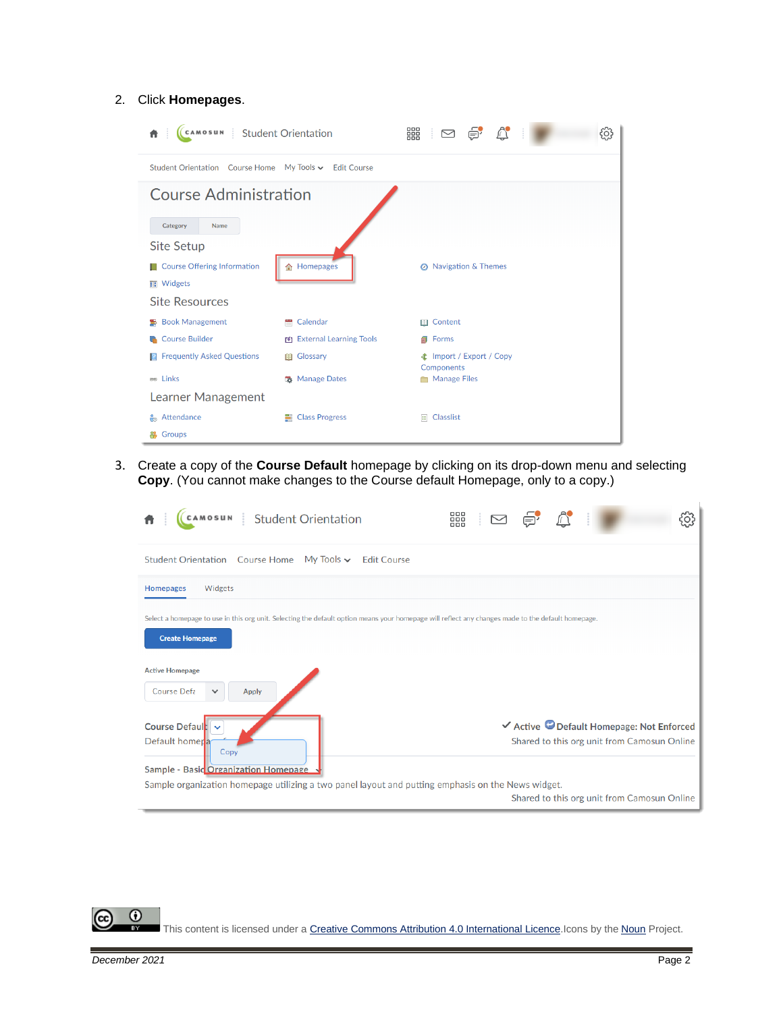#### 2. Click **Homepages**.

| $\text{C} \quad \text{and} \quad \text{C} \quad \text{C} \quad \text{C} \quad \text{C} \quad \text{C} \quad \text{C} \quad \text{C} \quad \text{C} \quad \text{C} \quad \text{C} \quad \text{C} \quad \text{C} \quad \text{C} \quad \text{C} \quad \text{C} \quad \text{C} \quad \text{C} \quad \text{C} \quad \text{C} \quad \text{C} \quad \text{C} \quad \text{C} \quad \text{C} \quad \text{C} \quad \text{C} \quad \text{C} \quad \text{C} \quad \text{C} \quad \text{C} \quad \text{$<br>Student Orientation<br>CAMOSUN<br>śΟ, |                         |                                               |  |  |  |  |
|--------------------------------------------------------------------------------------------------------------------------------------------------------------------------------------------------------------------------------------------------------------------------------------------------------------------------------------------------------------------------------------------------------------------------------------------------------------------------------------------------------------------------------------|-------------------------|-----------------------------------------------|--|--|--|--|
| Student Orientation Course Home My Tools v Edit Course                                                                                                                                                                                                                                                                                                                                                                                                                                                                               |                         |                                               |  |  |  |  |
| <b>Course Administration</b>                                                                                                                                                                                                                                                                                                                                                                                                                                                                                                         |                         |                                               |  |  |  |  |
| Name<br>Category                                                                                                                                                                                                                                                                                                                                                                                                                                                                                                                     |                         |                                               |  |  |  |  |
| <b>Site Setup</b>                                                                                                                                                                                                                                                                                                                                                                                                                                                                                                                    |                         |                                               |  |  |  |  |
| <b>Course Offering Information</b>                                                                                                                                                                                                                                                                                                                                                                                                                                                                                                   | <b>合 Homepages</b>      | <b>8</b> Navigation & Themes                  |  |  |  |  |
| <b>THE Widgets</b>                                                                                                                                                                                                                                                                                                                                                                                                                                                                                                                   |                         |                                               |  |  |  |  |
| <b>Site Resources</b>                                                                                                                                                                                                                                                                                                                                                                                                                                                                                                                |                         |                                               |  |  |  |  |
| <b>Book Management</b><br>墨                                                                                                                                                                                                                                                                                                                                                                                                                                                                                                          | ۳<br>Calendar           | <b>III</b> Content                            |  |  |  |  |
| <b>Course Builder</b>                                                                                                                                                                                                                                                                                                                                                                                                                                                                                                                | External Learning Tools | Forms                                         |  |  |  |  |
| <b>Frequently Asked Questions</b><br>R                                                                                                                                                                                                                                                                                                                                                                                                                                                                                               | <b>III</b> Glossary     | <b>全</b> Import / Export / Copy<br>Components |  |  |  |  |
| e Links                                                                                                                                                                                                                                                                                                                                                                                                                                                                                                                              | <b>选</b> Manage Dates   | <b>Manage Files</b>                           |  |  |  |  |
| Learner Management                                                                                                                                                                                                                                                                                                                                                                                                                                                                                                                   |                         |                                               |  |  |  |  |
| Attendance<br>$\epsilon$                                                                                                                                                                                                                                                                                                                                                                                                                                                                                                             | <b>■ Class Progress</b> | $E$ Classlist                                 |  |  |  |  |
| Groups                                                                                                                                                                                                                                                                                                                                                                                                                                                                                                                               |                         |                                               |  |  |  |  |

3. Create a copy of the **Course Default** homepage by clicking on its drop-down menu and selecting **Copy**. (You cannot make changes to the Course default Homepage, only to a copy.)

| <b>Student Orientation</b>                                                                                                                                                   | 器 |  |  |                                                                                          |  |
|------------------------------------------------------------------------------------------------------------------------------------------------------------------------------|---|--|--|------------------------------------------------------------------------------------------|--|
| <b>Student Orientation</b> Course Home<br>My Tools $\backsim$<br><b>Edit Course</b>                                                                                          |   |  |  |                                                                                          |  |
| Widgets<br><b>Homepages</b>                                                                                                                                                  |   |  |  |                                                                                          |  |
| Select a homepage to use in this org unit. Selecting the default option means your homepage will reflect any changes made to the default homepage.<br><b>Create Homepage</b> |   |  |  |                                                                                          |  |
| <b>Active Homepage</b><br>Course Defa<br><b>Apply</b><br>$\checkmark$                                                                                                        |   |  |  |                                                                                          |  |
| Course Default<br>Default homer <sub>a</sub><br>Copy<br>Sample - Basic Organization Homepage                                                                                 |   |  |  | ✔ Active © Default Homepage: Not Enforced<br>Shared to this org unit from Camosun Online |  |
| Sample organization homepage utilizing a two panel layout and putting emphasis on the News widget.                                                                           |   |  |  | Shared to this org unit from Camosun Online                                              |  |

This content is licensed under [a Creative Commons Attribution 4.0 International Licence.I](https://creativecommons.org/licenses/by/4.0/)cons by the [Noun](https://creativecommons.org/website-icons/) Project.

 $\overline{0}$ 

Б

(cc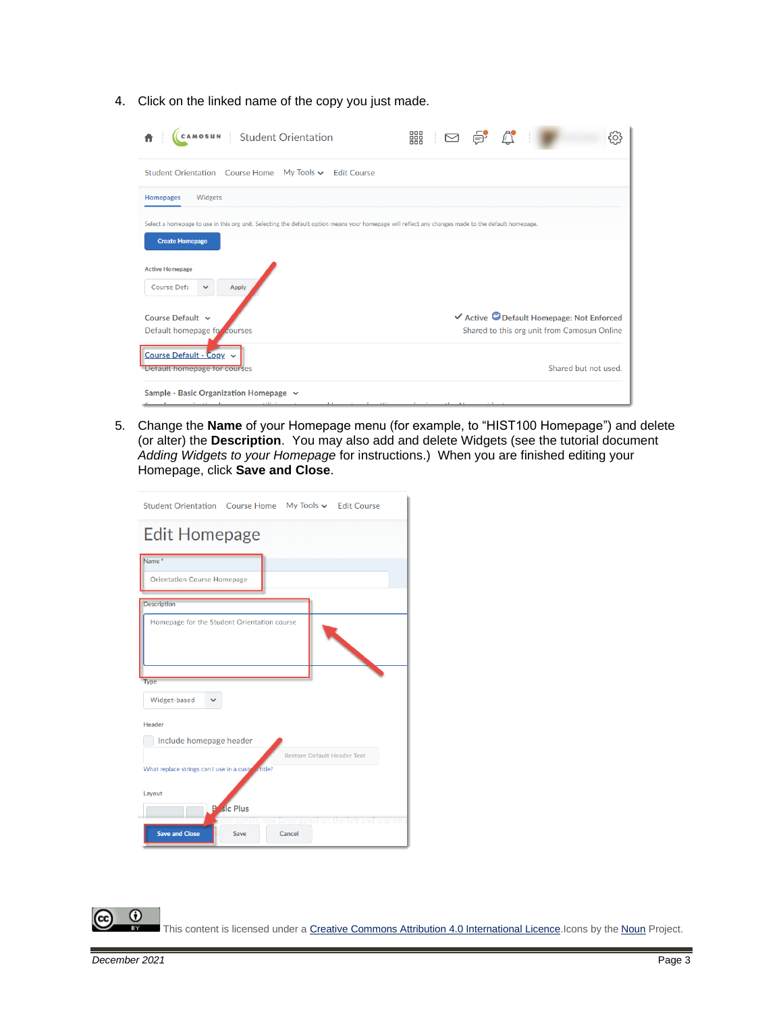4. Click on the linked name of the copy you just made.

| cAMOSUN Student Orientation                                                                                                                                                  | 888                                                                 |
|------------------------------------------------------------------------------------------------------------------------------------------------------------------------------|---------------------------------------------------------------------|
| <b>Student Orientation</b> Course Home<br>My Tools $\backsim$<br><b>Edit Course</b>                                                                                          |                                                                     |
| <b>Homepages</b><br>Widgets                                                                                                                                                  |                                                                     |
| Select a homepage to use in this org unit. Selecting the default option means your homepage will reflect any changes made to the default homepage.<br><b>Create Homepage</b> |                                                                     |
| <b>Active Homepage</b><br>Course Defa<br>$\checkmark$<br><b>Apply</b>                                                                                                        |                                                                     |
| Course Default ~                                                                                                                                                             | ✔ Active © Default Homepage: Not Enforced                           |
| Default homepage for courses<br>Course Default - Copy $\sim$<br>Detault homepage for courses                                                                                 | Shared to this org unit from Camosun Online<br>Shared but not used. |
| Sample - Basic Organization Homepage $\sim$<br>                                                                                                                              |                                                                     |

5. Change the **Name** of your Homepage menu (for example, to "HIST100 Homepage") and delete (or alter) the **Description**. You may also add and delete Widgets (see the tutorial document *Adding Widgets to your Homepage* for instructions.) When you are finished editing your Homepage, click **Save and Close**.

| Student Orientation Course Home My Tools v Edit Course                                     |
|--------------------------------------------------------------------------------------------|
| <b>Edit Homepage</b>                                                                       |
| Name <sup>*</sup><br><b>Orientation Course Homepage</b>                                    |
| <b>Description</b>                                                                         |
| Homepage for the Student Orientation course                                                |
| <b>Type</b>                                                                                |
| Widget-based                                                                               |
| Header                                                                                     |
| Include homepage header                                                                    |
| Restore Default Header Text                                                                |
| What replace strings can I use in a custer fittle?                                         |
| Layout<br><b>P</b> sic Plus                                                                |
| panels: one large panel on the left and one sma<br><b>Save and Close</b><br>Cancel<br>Save |

 $\odot$ This content is licensed under [a Creative Commons Attribution 4.0 International Licence.I](https://creativecommons.org/licenses/by/4.0/)cons by the [Noun](https://creativecommons.org/website-icons/) Project.